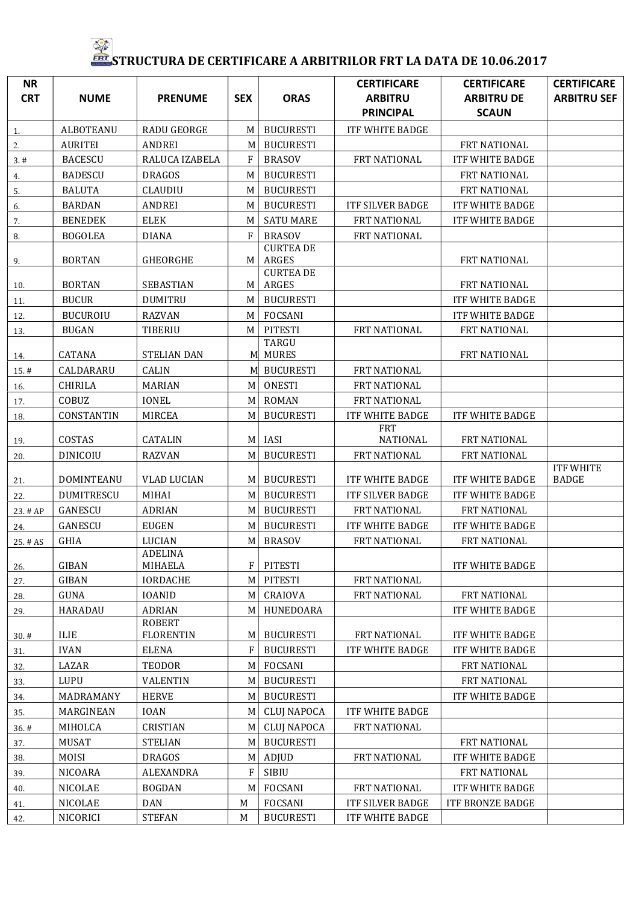## FRT STRUCTURA DE CERTIFICARE A ARBITRILOR FRT LA DATA DE 10.06.2017

| <b>NR</b>  |                   |                                |             |                              | <b>CERTIFICARE</b>                 | <b>CERTIFICARE</b>                | <b>CERTIFICARE</b>        |
|------------|-------------------|--------------------------------|-------------|------------------------------|------------------------------------|-----------------------------------|---------------------------|
| <b>CRT</b> | <b>NUME</b>       | <b>PRENUME</b>                 | <b>SEX</b>  | <b>ORAS</b>                  | <b>ARBITRU</b><br><b>PRINCIPAL</b> | <b>ARBITRU DE</b><br><b>SCAUN</b> | <b>ARBITRU SEF</b>        |
| 1.         | <b>ALBOTEANU</b>  | <b>RADU GEORGE</b>             | M           | <b>BUCURESTI</b>             | <b>ITF WHITE BADGE</b>             |                                   |                           |
| 2.         | <b>AURITEI</b>    | <b>ANDREI</b>                  | M           | <b>BUCURESTI</b>             |                                    | FRT NATIONAL                      |                           |
| 3.#        | <b>BACESCU</b>    | RALUCA IZABELA                 | F           | <b>BRASOV</b>                | FRT NATIONAL                       | <b>ITF WHITE BADGE</b>            |                           |
| 4.         | <b>BADESCU</b>    | <b>DRAGOS</b>                  | M           | <b>BUCURESTI</b>             |                                    | FRT NATIONAL                      |                           |
| 5.         | <b>BALUTA</b>     | <b>CLAUDIU</b>                 | M           | <b>BUCURESTI</b>             |                                    | FRT NATIONAL                      |                           |
| 6.         | <b>BARDAN</b>     | <b>ANDREI</b>                  | M           | <b>BUCURESTI</b>             | <b>ITF SILVER BADGE</b>            | <b>ITF WHITE BADGE</b>            |                           |
| 7.         | <b>BENEDEK</b>    | ELEK                           | M           | <b>SATU MARE</b>             | FRT NATIONAL                       | ITF WHITE BADGE                   |                           |
| 8.         | <b>BOGOLEA</b>    | <b>DIANA</b>                   | $\mathbf F$ | <b>BRASOV</b>                | FRT NATIONAL                       |                                   |                           |
| 9.         | <b>BORTAN</b>     | GHEORGHE                       | M           | <b>CURTEA DE</b><br>ARGES    |                                    | FRT NATIONAL                      |                           |
| 10.        | <b>BORTAN</b>     | SEBASTIAN                      | M           | <b>CURTEA DE</b><br>ARGES    |                                    | FRT NATIONAL                      |                           |
| 11.        | <b>BUCUR</b>      | <b>DUMITRU</b>                 | M           | <b>BUCURESTI</b>             |                                    | <b>ITF WHITE BADGE</b>            |                           |
| 12.        | <b>BUCUROIU</b>   | <b>RAZVAN</b>                  | M           | <b>FOCSANI</b>               |                                    | <b>ITF WHITE BADGE</b>            |                           |
| 13.        | <b>BUGAN</b>      | TIBERIU                        | M           | <b>PITESTI</b>               | FRT NATIONAL                       | FRT NATIONAL                      |                           |
| 14.        | <b>CATANA</b>     | <b>STELIAN DAN</b>             | M           | <b>TARGU</b><br><b>MURES</b> |                                    | FRT NATIONAL                      |                           |
| 15.#       | CALDARARU         | CALIN                          | M           | <b>BUCURESTI</b>             | FRT NATIONAL                       |                                   |                           |
| 16.        | <b>CHIRILA</b>    | <b>MARIAN</b>                  | M           | <b>ONESTI</b>                | FRT NATIONAL                       |                                   |                           |
| 17.        | COBUZ             | <b>IONEL</b>                   | M           | ROMAN                        | FRT NATIONAL                       |                                   |                           |
| 18.        | CONSTANTIN        | MIRCEA                         | M           | <b>BUCURESTI</b>             | <b>ITF WHITE BADGE</b>             | ITF WHITE BADGE                   |                           |
| 19.        | COSTAS            | <b>CATALIN</b>                 | M           | IASI                         | FRT<br>NATIONAL                    | FRT NATIONAL                      |                           |
| 20.        | <b>DINICOIU</b>   | <b>RAZVAN</b>                  | M           | <b>BUCURESTI</b>             | FRT NATIONAL                       | FRT NATIONAL                      |                           |
| 21.        | DOMINTEANU        | <b>VLAD LUCIAN</b>             | M           | <b>BUCURESTI</b>             | <b>ITF WHITE BADGE</b>             | <b>ITF WHITE BADGE</b>            | <b>ITF WHITE</b><br>BADGE |
| 22.        | <b>DUMITRESCU</b> | <b>MIHAI</b>                   | M           | <b>BUCURESTI</b>             | <b>ITF SILVER BADGE</b>            | <b>ITF WHITE BADGE</b>            |                           |
| 23. # AP   | GANESCU           | ADRIAN                         | M           | <b>BUCURESTI</b>             | FRT NATIONAL                       | FRT NATIONAL                      |                           |
| 24.        | GANESCU           | <b>EUGEN</b>                   | M           | <b>BUCURESTI</b>             | <b>ITF WHITE BADGE</b>             | ITF WHITE BADGE                   |                           |
| 25. # AS   | GHIA              | LUCIAN                         | M           | <b>BRASOV</b>                | FRT NATIONAL                       | FRT NATIONAL                      |                           |
| 26.        | GIBAN             | ADELINA<br><b>MIHAELA</b>      | F           | <b>PITESTI</b>               |                                    | <b>ITF WHITE BADGE</b>            |                           |
| 27.        | GIBAN             | <b>IORDACHE</b>                | M           | <b>PITESTI</b>               | FRT NATIONAL                       |                                   |                           |
| 28.        | GUNA              | <b>IOANID</b>                  | M           | CRAIOVA                      | FRT NATIONAL                       | FRT NATIONAL                      |                           |
| 29.        | <b>HARADAU</b>    | <b>ADRIAN</b><br><b>ROBERT</b> | M           | HUNEDOARA                    |                                    | <b>ITF WHITE BADGE</b>            |                           |
| 30.#       | <b>ILIE</b>       | <b>FLORENTIN</b>               | M           | <b>BUCURESTI</b>             | FRT NATIONAL                       | ITF WHITE BADGE                   |                           |
| 31.        | <b>IVAN</b>       | ELENA                          | F           | <b>BUCURESTI</b>             | <b>ITF WHITE BADGE</b>             | <b>ITF WHITE BADGE</b>            |                           |
| 32.        | LAZAR             | TEODOR                         | M           | FOCSANI                      |                                    | FRT NATIONAL                      |                           |
| 33.        | LUPU              | <b>VALENTIN</b>                | M           | <b>BUCURESTI</b>             |                                    | FRT NATIONAL                      |                           |
| 34.        | MADRAMANY         | <b>HERVE</b>                   | M           | <b>BUCURESTI</b>             |                                    | <b>ITF WHITE BADGE</b>            |                           |
| 35.        | MARGINEAN         | <b>IOAN</b>                    | M           | <b>CLUJ NAPOCA</b>           | ITF WHITE BADGE                    |                                   |                           |
| 36.#       | MIHOLCA           | CRISTIAN                       | M           | <b>CLUJ NAPOCA</b>           | FRT NATIONAL                       |                                   |                           |
| 37.        | MUSAT             | <b>STELIAN</b>                 | M           | <b>BUCURESTI</b>             |                                    | FRT NATIONAL                      |                           |
| 38.        | MOISI             | <b>DRAGOS</b>                  | M           | ADJUD                        | FRT NATIONAL                       | <b>ITF WHITE BADGE</b>            |                           |
| 39.        | NICOARA           | ALEXANDRA                      | F           | SIBIU                        |                                    | FRT NATIONAL                      |                           |
| 40.        | NICOLAE           | <b>BOGDAN</b>                  | $\mathbf M$ | FOCSANI                      | FRT NATIONAL                       | ITF WHITE BADGE                   |                           |
| 41.        | NICOLAE           | DAN                            | M           | FOCSANI                      | <b>ITF SILVER BADGE</b>            | ITF BRONZE BADGE                  |                           |
| 42.        | NICORICI          | <b>STEFAN</b>                  | M           | <b>BUCURESTI</b>             | ITF WHITE BADGE                    |                                   |                           |